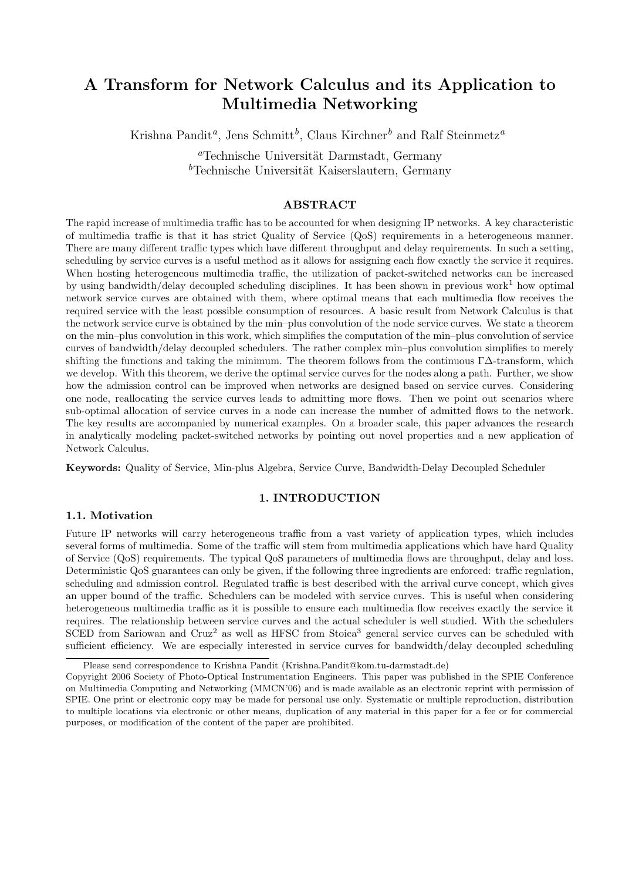# A Transform for Network Calculus and its Application to Multimedia Networking

Krishna Pandit<sup>a</sup>, Jens Schmitt<sup>b</sup>, Claus Kirchner<sup>b</sup> and Ralf Steinmetz<sup>a</sup>

 $a$ Technische Universität Darmstadt, Germany  ${}^b$ Technische Universität Kaiserslautern, Germany

## ABSTRACT

The rapid increase of multimedia traffic has to be accounted for when designing IP networks. A key characteristic of multimedia traffic is that it has strict Quality of Service (QoS) requirements in a heterogeneous manner. There are many different traffic types which have different throughput and delay requirements. In such a setting, scheduling by service curves is a useful method as it allows for assigning each flow exactly the service it requires. When hosting heterogeneous multimedia traffic, the utilization of packet-switched networks can be increased by using bandwidth/delay decoupled scheduling disciplines. It has been shown in previous work<sup>1</sup> how optimal network service curves are obtained with them, where optimal means that each multimedia flow receives the required service with the least possible consumption of resources. A basic result from Network Calculus is that the network service curve is obtained by the min–plus convolution of the node service curves. We state a theorem on the min–plus convolution in this work, which simplifies the computation of the min–plus convolution of service curves of bandwidth/delay decoupled schedulers. The rather complex min–plus convolution simplifies to merely shifting the functions and taking the minimum. The theorem follows from the continuous  $\Gamma\Delta$ -transform, which we develop. With this theorem, we derive the optimal service curves for the nodes along a path. Further, we show how the admission control can be improved when networks are designed based on service curves. Considering one node, reallocating the service curves leads to admitting more flows. Then we point out scenarios where sub-optimal allocation of service curves in a node can increase the number of admitted flows to the network. The key results are accompanied by numerical examples. On a broader scale, this paper advances the research in analytically modeling packet-switched networks by pointing out novel properties and a new application of Network Calculus.

Keywords: Quality of Service, Min-plus Algebra, Service Curve, Bandwidth-Delay Decoupled Scheduler

## 1. INTRODUCTION

# 1.1. Motivation

Future IP networks will carry heterogeneous traffic from a vast variety of application types, which includes several forms of multimedia. Some of the traffic will stem from multimedia applications which have hard Quality of Service (QoS) requirements. The typical QoS parameters of multimedia flows are throughput, delay and loss. Deterministic QoS guarantees can only be given, if the following three ingredients are enforced: traffic regulation, scheduling and admission control. Regulated traffic is best described with the arrival curve concept, which gives an upper bound of the traffic. Schedulers can be modeled with service curves. This is useful when considering heterogeneous multimedia traffic as it is possible to ensure each multimedia flow receives exactly the service it requires. The relationship between service curves and the actual scheduler is well studied. With the schedulers SCED from Sariowan and Cruz<sup>2</sup> as well as HFSC from Stoica<sup>3</sup> general service curves can be scheduled with sufficient efficiency. We are especially interested in service curves for bandwidth/delay decoupled scheduling

Please send correspondence to Krishna Pandit (Krishna.Pandit@kom.tu-darmstadt.de)

Copyright 2006 Society of Photo-Optical Instrumentation Engineers. This paper was published in the SPIE Conference on Multimedia Computing and Networking (MMCN'06) and is made available as an electronic reprint with permission of SPIE. One print or electronic copy may be made for personal use only. Systematic or multiple reproduction, distribution to multiple locations via electronic or other means, duplication of any material in this paper for a fee or for commercial purposes, or modification of the content of the paper are prohibited.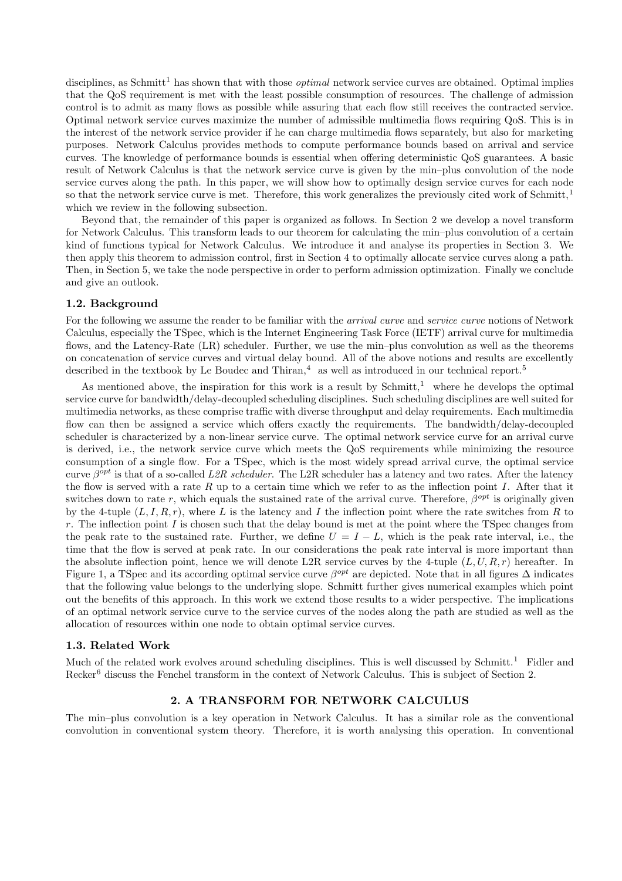disciplines, as Schmitt<sup>1</sup> has shown that with those *optimal* network service curves are obtained. Optimal implies that the QoS requirement is met with the least possible consumption of resources. The challenge of admission control is to admit as many flows as possible while assuring that each flow still receives the contracted service. Optimal network service curves maximize the number of admissible multimedia flows requiring QoS. This is in the interest of the network service provider if he can charge multimedia flows separately, but also for marketing purposes. Network Calculus provides methods to compute performance bounds based on arrival and service curves. The knowledge of performance bounds is essential when offering deterministic QoS guarantees. A basic result of Network Calculus is that the network service curve is given by the min–plus convolution of the node service curves along the path. In this paper, we will show how to optimally design service curves for each node so that the network service curve is met. Therefore, this work generalizes the previously cited work of Schmitt,<sup>1</sup> which we review in the following subsection.

Beyond that, the remainder of this paper is organized as follows. In Section 2 we develop a novel transform for Network Calculus. This transform leads to our theorem for calculating the min–plus convolution of a certain kind of functions typical for Network Calculus. We introduce it and analyse its properties in Section 3. We then apply this theorem to admission control, first in Section 4 to optimally allocate service curves along a path. Then, in Section 5, we take the node perspective in order to perform admission optimization. Finally we conclude and give an outlook.

#### 1.2. Background

For the following we assume the reader to be familiar with the *arrival curve* and *service curve* notions of Network Calculus, especially the TSpec, which is the Internet Engineering Task Force (IETF) arrival curve for multimedia flows, and the Latency-Rate (LR) scheduler. Further, we use the min–plus convolution as well as the theorems on concatenation of service curves and virtual delay bound. All of the above notions and results are excellently described in the textbook by Le Boudec and Thiran,<sup>4</sup> as well as introduced in our technical report.<sup>5</sup>

As mentioned above, the inspiration for this work is a result by Schmitt,<sup>1</sup> where he develops the optimal service curve for bandwidth/delay-decoupled scheduling disciplines. Such scheduling disciplines are well suited for multimedia networks, as these comprise traffic with diverse throughput and delay requirements. Each multimedia flow can then be assigned a service which offers exactly the requirements. The bandwidth/delay-decoupled scheduler is characterized by a non-linear service curve. The optimal network service curve for an arrival curve is derived, i.e., the network service curve which meets the QoS requirements while minimizing the resource consumption of a single flow. For a TSpec, which is the most widely spread arrival curve, the optimal service curve  $\beta^{opt}$  is that of a so-called  $L2R$  scheduler. The L2R scheduler has a latency and two rates. After the latency the flow is served with a rate R up to a certain time which we refer to as the inflection point I. After that it switches down to rate r, which equals the sustained rate of the arrival curve. Therefore,  $\beta^{opt}$  is originally given by the 4-tuple  $(L, I, R, r)$ , where L is the latency and I the inflection point where the rate switches from R to r. The inflection point I is chosen such that the delay bound is met at the point where the TSpec changes from the peak rate to the sustained rate. Further, we define  $U = I - L$ , which is the peak rate interval, i.e., the time that the flow is served at peak rate. In our considerations the peak rate interval is more important than the absolute inflection point, hence we will denote L2R service curves by the 4-tuple  $(L, U, R, r)$  hereafter. In Figure 1, a TSpec and its according optimal service curve  $\beta^{opt}$  are depicted. Note that in all figures  $\Delta$  indicates that the following value belongs to the underlying slope. Schmitt further gives numerical examples which point out the benefits of this approach. In this work we extend those results to a wider perspective. The implications of an optimal network service curve to the service curves of the nodes along the path are studied as well as the allocation of resources within one node to obtain optimal service curves.

## 1.3. Related Work

Much of the related work evolves around scheduling disciplines. This is well discussed by Schmitt.<sup>1</sup> Fidler and Recker<sup>6</sup> discuss the Fenchel transform in the context of Network Calculus. This is subject of Section 2.

## 2. A TRANSFORM FOR NETWORK CALCULUS

The min–plus convolution is a key operation in Network Calculus. It has a similar role as the conventional convolution in conventional system theory. Therefore, it is worth analysing this operation. In conventional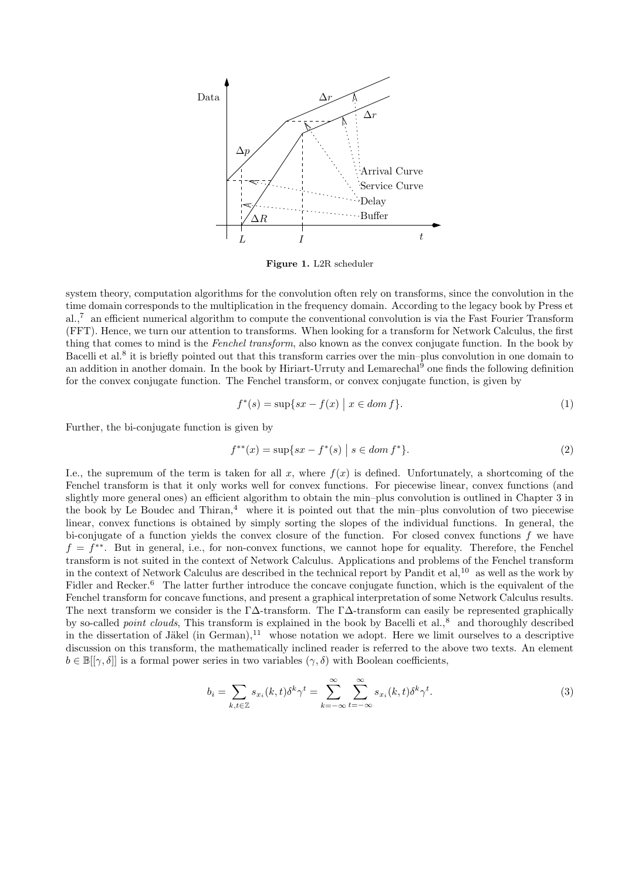PSfrag replacements



Figure 1. L2R scheduler

system theory, computation algorithms for the convolution often rely on transforms, since the convolution in the time domain corresponds to the multiplication in the frequency domain. According to the legacy book by Press et al.,<sup>7</sup> an efficient numerical algorithm to compute the conventional convolution is via the Fast Fourier Transform (FFT). Hence, we turn our attention to transforms. When looking for a transform for Network Calculus, the first thing that comes to mind is the *Fenchel transform*, also known as the convex conjugate function. In the book by Bacelli et al.<sup>8</sup> it is briefly pointed out that this transform carries over the min-plus convolution in one domain to an addition in another domain. In the book by Hiriart-Urruty and Lemarechal<sup>9</sup> one finds the following definition for the convex conjugate function. The Fenchel transform, or convex conjugate function, is given by

$$
f^*(s) = \sup\{sx - f(x) \mid x \in dom f\}.
$$
 (1)

Further, the bi-conjugate function is given by

$$
f^{**}(x) = \sup\{sx - f^*(s) \mid s \in dom f^*\}.
$$
 (2)

I.e., the supremum of the term is taken for all x, where  $f(x)$  is defined. Unfortunately, a shortcoming of the Fenchel transform is that it only works well for convex functions. For piecewise linear, convex functions (and slightly more general ones) an efficient algorithm to obtain the min–plus convolution is outlined in Chapter 3 in the book by Le Boudec and Thiran,<sup>4</sup> where it is pointed out that the min-plus convolution of two piecewise linear, convex functions is obtained by simply sorting the slopes of the individual functions. In general, the bi-conjugate of a function yields the convex closure of the function. For closed convex functions  $f$  we have  $f = f^{**}$ . But in general, i.e., for non-convex functions, we cannot hope for equality. Therefore, the Fenchel transform is not suited in the context of Network Calculus. Applications and problems of the Fenchel transform in the context of Network Calculus are described in the technical report by Pandit et al,  $10<sup>-10</sup>$  as well as the work by Fidler and Recker.<sup>6</sup> The latter further introduce the concave conjugate function, which is the equivalent of the Fenchel transform for concave functions, and present a graphical interpretation of some Network Calculus results. The next transform we consider is the  $\Gamma\Delta$ -transform. The  $\Gamma\Delta$ -transform can easily be represented graphically by so-called *point clouds*, This transform is explained in the book by Bacelli et al.,<sup>8</sup> and thoroughly described in the dissertation of Jäkel (in German),<sup>11</sup> whose notation we adopt. Here we limit ourselves to a descriptive discussion on this transform, the mathematically inclined reader is referred to the above two texts. An element  $b \in \mathbb{B}[[\gamma, \delta]]$  is a formal power series in two variables  $(\gamma, \delta)$  with Boolean coefficients,

$$
b_i = \sum_{k,t \in \mathbb{Z}} s_{x_i}(k,t) \delta^k \gamma^t = \sum_{k=-\infty}^{\infty} \sum_{t=-\infty}^{\infty} s_{x_i}(k,t) \delta^k \gamma^t.
$$
 (3)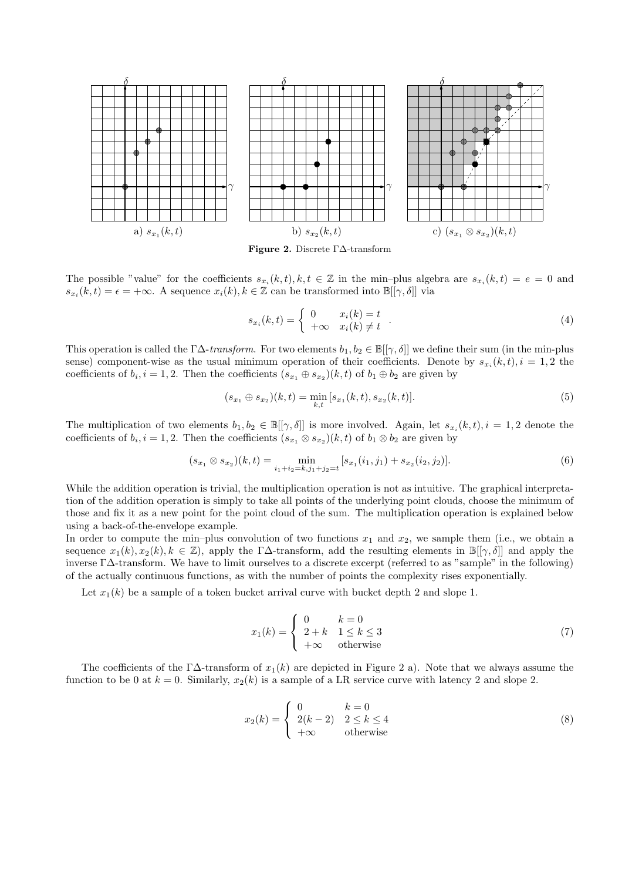

Figure 2. Discrete Γ∆-transform

The possible "value" for the coefficients  $s_{x_i}(k,t)$ ,  $k,t \in \mathbb{Z}$  in the min-plus algebra are  $s_{x_i}(k,t) = e = 0$  and  $s_{x_i}(k,t) = \epsilon = +\infty$ . A sequence  $x_i(k), k \in \mathbb{Z}$  can be transformed into  $\mathbb{B}[[\gamma, \delta]]$  via

$$
s_{x_i}(k,t) = \begin{cases} 0 & x_i(k) = t \\ +\infty & x_i(k) \neq t \end{cases} . \tag{4}
$$

This operation is called the  $\Gamma\Delta$ -transform. For two elements  $b_1, b_2 \in \mathbb{B}([\gamma, \delta])$  we define their sum (in the min-plus sense) component-wise as the usual minimum operation of their coefficients. Denote by  $s_{x_i}(k,t), i = 1, 2$  the coefficients of  $b_i$ ,  $i = 1, 2$ . Then the coefficients  $(s_{x_1} \oplus s_{x_2})(k, t)$  of  $b_1 \oplus b_2$  are given by

$$
(s_{x_1} \oplus s_{x_2})(k,t) = \min_{k,t} [s_{x_1}(k,t), s_{x_2}(k,t)].
$$
\n(5)

The multiplication of two elements  $b_1, b_2 \in \mathbb{B}[[\gamma, \delta]]$  is more involved. Again, let  $s_{x_i}(k,t)$ ,  $i = 1, 2$  denote the coefficients of  $b_i$ ,  $i = 1, 2$ . Then the coefficients  $(s_{x_1} \otimes s_{x_2})(k, t)$  of  $b_1 \otimes b_2$  are given by

$$
(s_{x_1} \otimes s_{x_2})(k,t) = \min_{i_1+i_2=k, j_1+j_2=t} [s_{x_1}(i_1,j_1) + s_{x_2}(i_2,j_2)].
$$
\n(6)

While the addition operation is trivial, the multiplication operation is not as intuitive. The graphical interpretation of the addition operation is simply to take all points of the underlying point clouds, choose the minimum of those and fix it as a new point for the point cloud of the sum. The multiplication operation is explained below using a back-of-the-envelope example.

In order to compute the min–plus convolution of two functions  $x_1$  and  $x_2$ , we sample them (i.e., we obtain a sequence  $x_1(k), x_2(k), k \in \mathbb{Z}$ , apply the Γ∆-transform, add the resulting elements in  $\mathbb{B}[[\gamma, \delta]]$  and apply the inverse Γ∆-transform. We have to limit ourselves to a discrete excerpt (referred to as "sample" in the following) of the actually continuous functions, as with the number of points the complexity rises exponentially.

Let  $x_1(k)$  be a sample of a token bucket arrival curve with bucket depth 2 and slope 1.

$$
x_1(k) = \begin{cases} 0 & k = 0\\ 2 + k & 1 \le k \le 3\\ +\infty & \text{otherwise} \end{cases}
$$
 (7)

The coefficients of the Γ $\Delta$ -transform of  $x_1(k)$  are depicted in Figure 2 a). Note that we always assume the function to be 0 at  $k = 0$ . Similarly,  $x_2(k)$  is a sample of a LR service curve with latency 2 and slope 2.

$$
x_2(k) = \begin{cases} 0 & k = 0\\ 2(k-2) & 2 \le k \le 4\\ +\infty & \text{otherwise} \end{cases}
$$
 (8)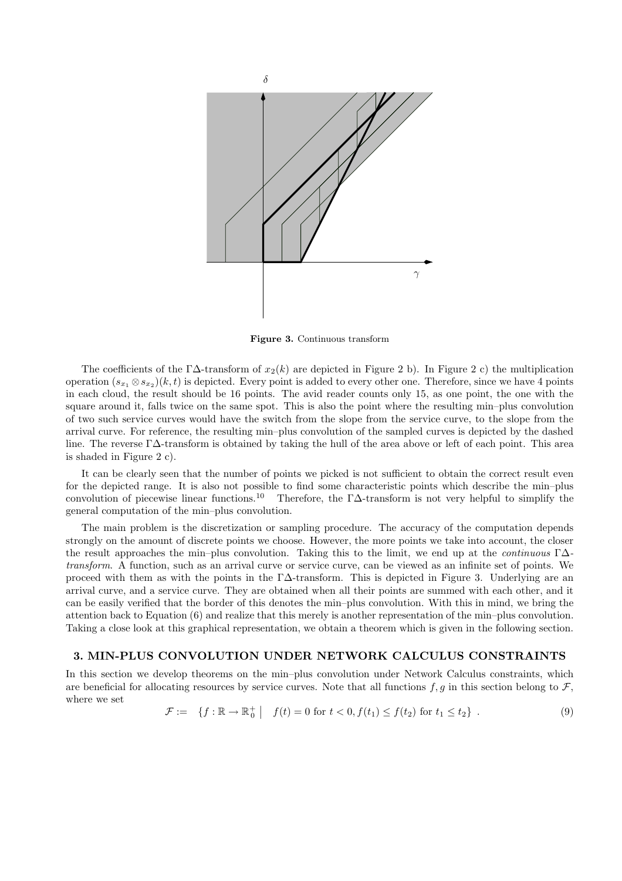

Figure 3. Continuous transform

The coefficients of the  $\Gamma\Delta$ -transform of  $x_2(k)$  are depicted in Figure 2 b). In Figure 2 c) the multiplication operation  $(s_{x_1} \otimes s_{x_2})(k,t)$  is depicted. Every point is added to every other one. Therefore, since we have 4 points in each cloud, the result should be 16 points. The avid reader counts only 15, as one point, the one with the square around it, falls twice on the same spot. This is also the point where the resulting min–plus convolution of two such service curves would have the switch from the slope from the service curve, to the slope from the arrival curve. For reference, the resulting min–plus convolution of the sampled curves is depicted by the dashed line. The reverse Γ∆-transform is obtained by taking the hull of the area above or left of each point. This area is shaded in Figure 2 c).

It can be clearly seen that the number of points we picked is not sufficient to obtain the correct result even for the depicted range. It is also not possible to find some characteristic points which describe the min–plus convolution of piecewise linear functions.<sup>10</sup> Therefore, the Γ∆-transform is not very helpful to simplify the general computation of the min–plus convolution.

The main problem is the discretization or sampling procedure. The accuracy of the computation depends strongly on the amount of discrete points we choose. However, the more points we take into account, the closer the result approaches the min–plus convolution. Taking this to the limit, we end up at the *continuous*  $\Gamma\Delta$ transform. A function, such as an arrival curve or service curve, can be viewed as an infinite set of points. We proceed with them as with the points in the Γ∆-transform. This is depicted in Figure 3. Underlying are an arrival curve, and a service curve. They are obtained when all their points are summed with each other, and it can be easily verified that the border of this denotes the min–plus convolution. With this in mind, we bring the attention back to Equation (6) and realize that this merely is another representation of the min–plus convolution. Taking a close look at this graphical representation, we obtain a theorem which is given in the following section.

#### 3. MIN-PLUS CONVOLUTION UNDER NETWORK CALCULUS CONSTRAINTS

In this section we develop theorems on the min–plus convolution under Network Calculus constraints, which are beneficial for allocating resources by service curves. Note that all functions  $f, g$  in this section belong to  $\mathcal{F}$ , where we set

$$
\mathcal{F} := \{ f : \mathbb{R} \to \mathbb{R}_0^+ \mid f(t) = 0 \text{ for } t < 0, f(t_1) \le f(t_2) \text{ for } t_1 \le t_2 \} .
$$
 (9)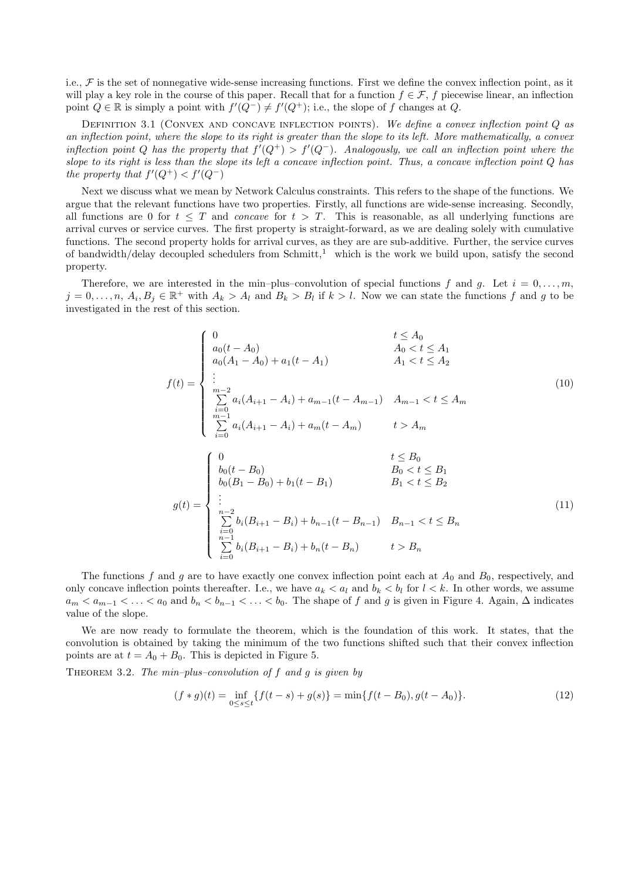i.e.,  $\mathcal F$  is the set of nonnegative wide-sense increasing functions. First we define the convex inflection point, as it will play a key role in the course of this paper. Recall that for a function  $f \in \mathcal{F}$ , f piecewise linear, an inflection point  $Q \in \mathbb{R}$  is simply a point with  $f'(Q^-) \neq f'(Q^+);$  i.e., the slope of f changes at Q.

DEFINITION 3.1 (CONVEX AND CONCAVE INFLECTION POINTS). We define a convex inflection point  $Q$  as an inflection point, where the slope to its right is greater than the slope to its left. More mathematically, a convex inflection point Q has the property that  $f'(Q^+) > f'(Q^-)$ . Analogously, we call an inflection point where the slope to its right is less than the slope its left a concave inflection point. Thus, a concave inflection point Q has the property that  $f'(Q^+) < f'(Q^-)$ 

Next we discuss what we mean by Network Calculus constraints. This refers to the shape of the functions. We argue that the relevant functions have two properties. Firstly, all functions are wide-sense increasing. Secondly, all functions are 0 for  $t \leq T$  and *concave* for  $t > T$ . This is reasonable, as all underlying functions are arrival curves or service curves. The first property is straight-forward, as we are dealing solely with cumulative functions. The second property holds for arrival curves, as they are are sub-additive. Further, the service curves of bandwidth/delay decoupled schedulers from  $Schmitt<sup>1</sup>$  which is the work we build upon, satisfy the second property.

Therefore, we are interested in the min–plus–convolution of special functions f and g. Let  $i = 0, \ldots, m$ ,  $j = 0, \ldots, n, A_i, B_j \in \mathbb{R}^+$  with  $A_k > A_l$  and  $B_k > B_l$  if  $k > l$ . Now we can state the functions f and g to be investigated in the rest of this section.

$$
f(t) = \begin{cases} 0 & t \le A_0 \\ a_0(t - A_0) & A_0 < t \le A_1 \\ a_0(A_1 - A_0) + a_1(t - A_1) & A_1 < t \le A_2 \\ \vdots & \vdots \\ \sum_{i=0}^{m-2} a_i(A_{i+1} - A_i) + a_{m-1}(t - A_{m-1}) & A_{m-1} < t \le A_m \\ \sum_{i=0}^{m-1} a_i(A_{i+1} - A_i) + a_m(t - A_m) & t > A_m \end{cases}
$$
(10)  

$$
g(t) = \begin{cases} 0 & t \le B_0 \\ b_0(t - B_0) & B_0 < t \le B_1 \\ b_0(B_1 - B_0) + b_1(t - B_1) & B_1 < t \le B_2 \\ \vdots & \vdots \\ \sum_{i=0}^{m-2} b_i(B_{i+1} - B_i) + b_{n-1}(t - B_{n-1}) & B_{n-1} < t \le B_n \\ \sum_{i=0}^{m-1} b_i(B_{i+1} - B_i) + b_n(t - B_n) & t > B_n \end{cases}
$$
(11)

The functions f and g are to have exactly one convex inflection point each at  $A_0$  and  $B_0$ , respectively, and only concave inflection points thereafter. I.e., we have  $a_k < a_l$  and  $b_k < b_l$  for  $l < k$ . In other words, we assume  $a_m < a_{m-1} < \ldots < a_0$  and  $b_n < b_{n-1} < \ldots < b_0$ . The shape of f and g is given in Figure 4. Again,  $\Delta$  indicates value of the slope.

We are now ready to formulate the theorem, which is the foundation of this work. It states, that the convolution is obtained by taking the minimum of the two functions shifted such that their convex inflection points are at  $t = A_0 + B_0$ . This is depicted in Figure 5.

THEOREM 3.2. The  $min$ -plus–convolution of f and g is given by

$$
(f * g)(t) = \inf_{0 \le s \le t} \{ f(t - s) + g(s) \} = \min \{ f(t - B_0), g(t - A_0) \}. \tag{12}
$$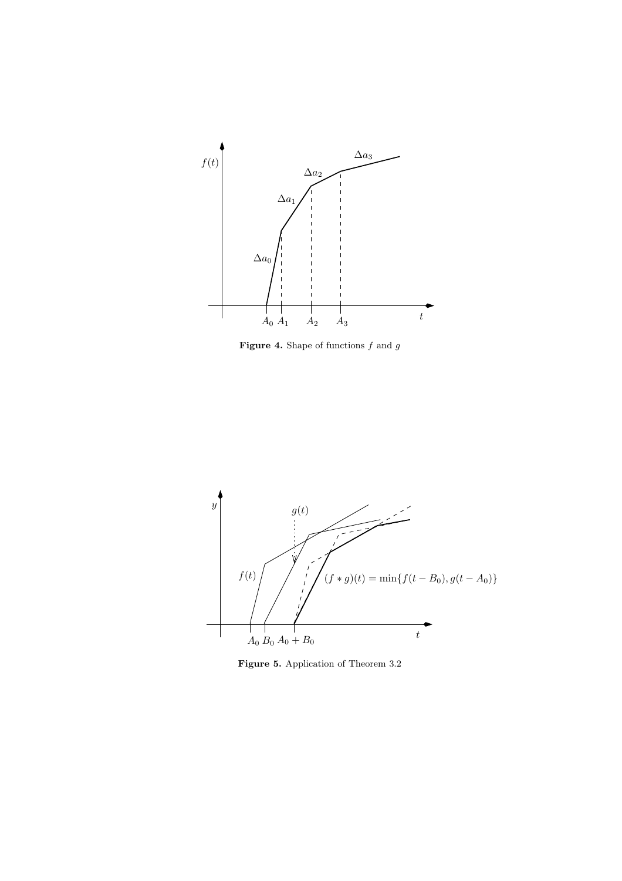

Figure 4. Shape of functions  $f$  and  $g$ 



Figure 5. Application of Theorem 3.2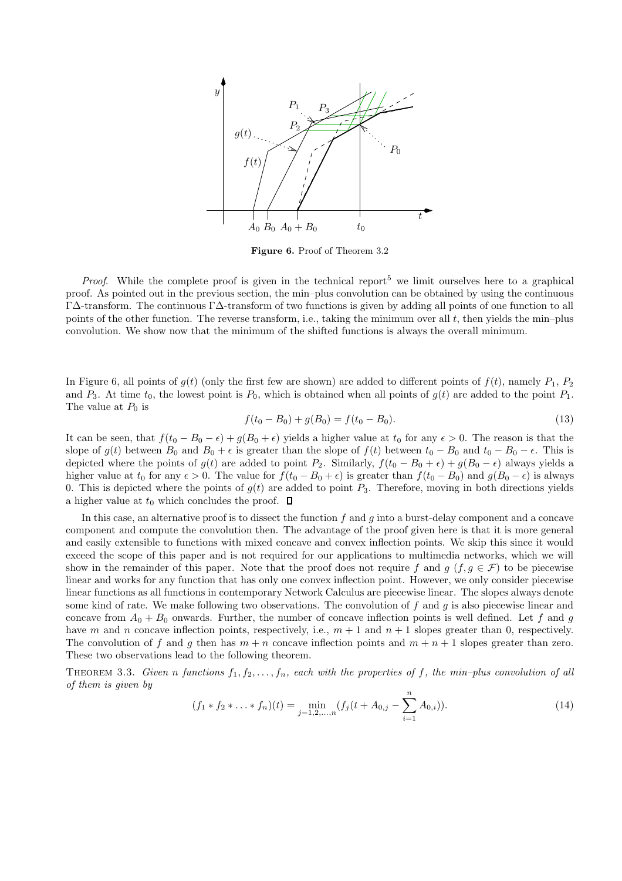

Figure 6. Proof of Theorem 3.2

*Proof.* While the complete proof is given in the technical report<sup>5</sup> we limit ourselves here to a graphical proof. As pointed out in the previous section, the min–plus convolution can be obtained by using the continuous Γ∆-transform. The continuous Γ∆-transform of two functions is given by adding all points of one function to all points of the other function. The reverse transform, i.e., taking the minimum over all t, then yields the min–plus convolution. We show now that the minimum of the shifted functions is always the overall minimum.

In Figure 6, all points of  $g(t)$  (only the first few are shown) are added to different points of  $f(t)$ , namely  $P_1$ ,  $P_2$ and  $P_3$ . At time  $t_0$ , the lowest point is  $P_0$ , which is obtained when all points of  $g(t)$  are added to the point  $P_1$ . The value at  $P_0$  is

$$
f(t_0 - B_0) + g(B_0) = f(t_0 - B_0).
$$
\n(13)

It can be seen, that  $f(t_0 - B_0 - \epsilon) + g(B_0 + \epsilon)$  yields a higher value at  $t_0$  for any  $\epsilon > 0$ . The reason is that the slope of  $g(t)$  between  $B_0$  and  $B_0 + \epsilon$  is greater than the slope of  $f(t)$  between  $t_0 - B_0$  and  $t_0 - B_0 - \epsilon$ . This is depicted where the points of  $g(t)$  are added to point P<sub>2</sub>. Similarly,  $f(t_0 - B_0 + \epsilon) + g(B_0 - \epsilon)$  always yields a higher value at  $t_0$  for any  $\epsilon > 0$ . The value for  $f(t_0 - B_0 + \epsilon)$  is greater than  $f(t_0 - B_0)$  and  $g(B_0 - \epsilon)$  is always 0. This is depicted where the points of  $g(t)$  are added to point  $P_3$ . Therefore, moving in both directions yields a higher value at  $t_0$  which concludes the proof.  $\Box$ 

In this case, an alternative proof is to dissect the function  $f$  and  $g$  into a burst-delay component and a concave component and compute the convolution then. The advantage of the proof given here is that it is more general and easily extensible to functions with mixed concave and convex inflection points. We skip this since it would exceed the scope of this paper and is not required for our applications to multimedia networks, which we will show in the remainder of this paper. Note that the proof does not require f and g  $(f, g \in \mathcal{F})$  to be piecewise linear and works for any function that has only one convex inflection point. However, we only consider piecewise linear functions as all functions in contemporary Network Calculus are piecewise linear. The slopes always denote some kind of rate. We make following two observations. The convolution of  $f$  and  $g$  is also piecewise linear and concave from  $A_0 + B_0$  onwards. Further, the number of concave inflection points is well defined. Let f and g have m and n concave inflection points, respectively, i.e.,  $m + 1$  and  $n + 1$  slopes greater than 0, respectively. The convolution of f and g then has  $m + n$  concave inflection points and  $m + n + 1$  slopes greater than zero. These two observations lead to the following theorem.

THEOREM 3.3. Given n functions  $f_1, f_2, \ldots, f_n$ , each with the properties of f, the min-plus convolution of all of them is given by

$$
(f_1 * f_2 * \ldots * f_n)(t) = \min_{j=1,2,\ldots,n} (f_j(t + A_{0,j} - \sum_{i=1}^n A_{0,i})).
$$
\n(14)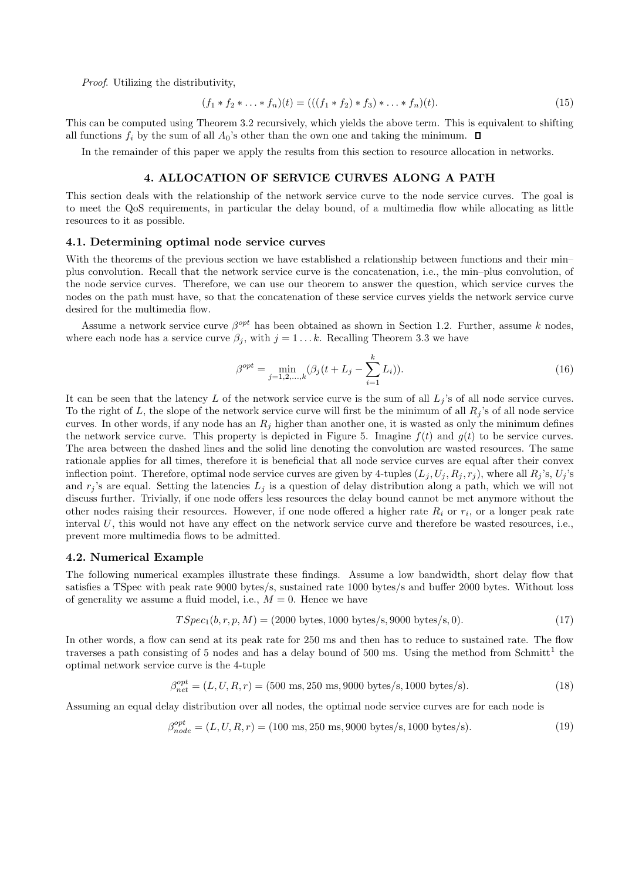Proof. Utilizing the distributivity,

$$
(f_1 * f_2 * \ldots * f_n)(t) = (((f_1 * f_2) * f_3) * \ldots * f_n)(t).
$$
\n(15)

This can be computed using Theorem 3.2 recursively, which yields the above term. This is equivalent to shifting all functions  $f_i$  by the sum of all  $A_0$ 's other than the own one and taking the minimum.  $\Box$ 

In the remainder of this paper we apply the results from this section to resource allocation in networks.

## 4. ALLOCATION OF SERVICE CURVES ALONG A PATH

This section deals with the relationship of the network service curve to the node service curves. The goal is to meet the QoS requirements, in particular the delay bound, of a multimedia flow while allocating as little resources to it as possible.

#### 4.1. Determining optimal node service curves

With the theorems of the previous section we have established a relationship between functions and their min– plus convolution. Recall that the network service curve is the concatenation, i.e., the min–plus convolution, of the node service curves. Therefore, we can use our theorem to answer the question, which service curves the nodes on the path must have, so that the concatenation of these service curves yields the network service curve desired for the multimedia flow.

Assume a network service curve  $\beta^{opt}$  has been obtained as shown in Section 1.2. Further, assume k nodes, where each node has a service curve  $\beta_i$ , with  $j = 1 \dots k$ . Recalling Theorem 3.3 we have

$$
\beta^{opt} = \min_{j=1,2,...,k} (\beta_j (t + L_j - \sum_{i=1}^k L_i)).
$$
\n(16)

It can be seen that the latency L of the network service curve is the sum of all  $L_i$ 's of all node service curves. To the right of L, the slope of the network service curve will first be the minimum of all  $R_j$ 's of all node service curves. In other words, if any node has an  $R_j$  higher than another one, it is wasted as only the minimum defines the network service curve. This property is depicted in Figure 5. Imagine  $f(t)$  and  $g(t)$  to be service curves. The area between the dashed lines and the solid line denoting the convolution are wasted resources. The same rationale applies for all times, therefore it is beneficial that all node service curves are equal after their convex inflection point. Therefore, optimal node service curves are given by 4-tuples  $(L_j, U_j, R_j, r_j)$ , where all  $R_j$ 's,  $U_j$ 's and  $r_j$ 's are equal. Setting the latencies  $L_j$  is a question of delay distribution along a path, which we will not discuss further. Trivially, if one node offers less resources the delay bound cannot be met anymore without the other nodes raising their resources. However, if one node offered a higher rate  $R_i$  or  $r_i$ , or a longer peak rate interval U, this would not have any effect on the network service curve and therefore be wasted resources, i.e., prevent more multimedia flows to be admitted.

## 4.2. Numerical Example

The following numerical examples illustrate these findings. Assume a low bandwidth, short delay flow that satisfies a TSpec with peak rate 9000 bytes/s, sustained rate 1000 bytes/s and buffer 2000 bytes. Without loss of generality we assume a fluid model, i.e.,  $M = 0$ . Hence we have

$$
TSpec_1(b, r, p, M) = (2000 \text{ bytes}, 1000 \text{ bytes/s}, 9000 \text{ bytes/s}, 0). \tag{17}
$$

In other words, a flow can send at its peak rate for 250 ms and then has to reduce to sustained rate. The flow traverses a path consisting of 5 nodes and has a delay bound of 500 ms. Using the method from Schmitt<sup>1</sup> the optimal network service curve is the 4-tuple

$$
\beta_{net}^{opt} = (L, U, R, r) = (500 \text{ ms}, 250 \text{ ms}, 9000 \text{ bytes/s}, 1000 \text{ bytes/s}). \tag{18}
$$

Assuming an equal delay distribution over all nodes, the optimal node service curves are for each node is

$$
\beta_{node}^{opt} = (L, U, R, r) = (100 \text{ ms}, 250 \text{ ms}, 9000 \text{ bytes/s}, 1000 \text{ bytes/s}). \tag{19}
$$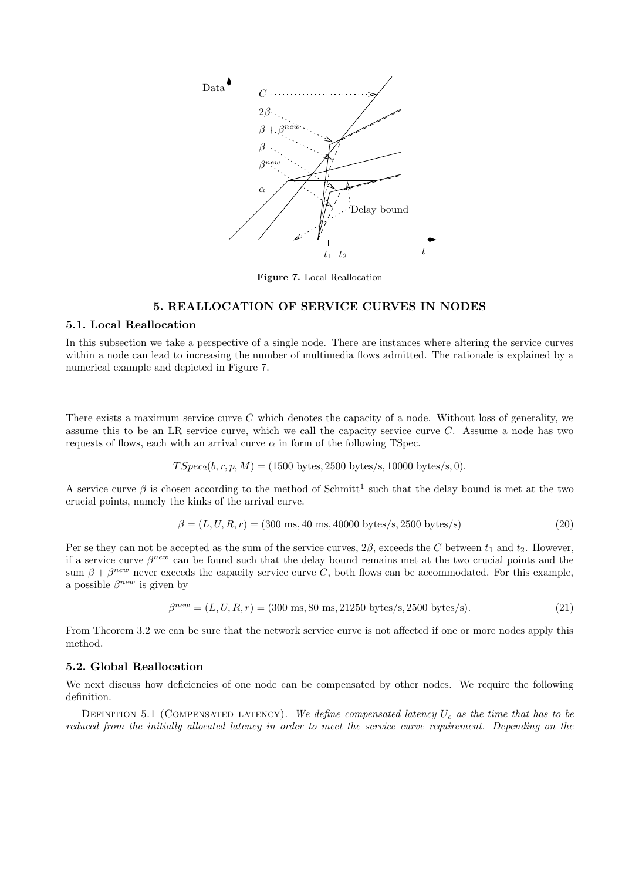

Figure 7. Local Reallocation

## 5. REALLOCATION OF SERVICE CURVES IN NODES

#### 5.1. Local Reallocation

In this subsection we take a perspective of a single node. There are instances where altering the service curves within a node can lead to increasing the number of multimedia flows admitted. The rationale is explained by a numerical example and depicted in Figure 7.

There exists a maximum service curve  $C$  which denotes the capacity of a node. Without loss of generality, we assume this to be an LR service curve, which we call the capacity service curve C. Assume a node has two requests of flows, each with an arrival curve  $\alpha$  in form of the following TSpec.

$$
TSpec2(b, r, p, M) = (1500 bytes, 2500 bytes/s, 10000 bytes/s, 0).
$$

A service curve  $\beta$  is chosen according to the method of Schmitt<sup>1</sup> such that the delay bound is met at the two crucial points, namely the kinks of the arrival curve.

$$
\beta = (L, U, R, r) = (300 \text{ ms}, 40 \text{ ms}, 40000 \text{ bytes/s}, 2500 \text{ bytes/s})
$$
\n(20)

Per se they can not be accepted as the sum of the service curves,  $2\beta$ , exceeds the C between  $t_1$  and  $t_2$ . However, if a service curve  $\beta^{new}$  can be found such that the delay bound remains met at the two crucial points and the sum  $\beta + \beta^{new}$  never exceeds the capacity service curve C, both flows can be accommodated. For this example, a possible  $\beta^{new}$  is given by

$$
\beta^{new} = (L, U, R, r) = (300 \text{ ms}, 80 \text{ ms}, 21250 \text{ bytes/s}, 2500 \text{ bytes/s}). \tag{21}
$$

From Theorem 3.2 we can be sure that the network service curve is not affected if one or more nodes apply this method.

## 5.2. Global Reallocation

We next discuss how deficiencies of one node can be compensated by other nodes. We require the following definition.

DEFINITION 5.1 (COMPENSATED LATENCY). We define compensated latency  $U_c$  as the time that has to be reduced from the initially allocated latency in order to meet the service curve requirement. Depending on the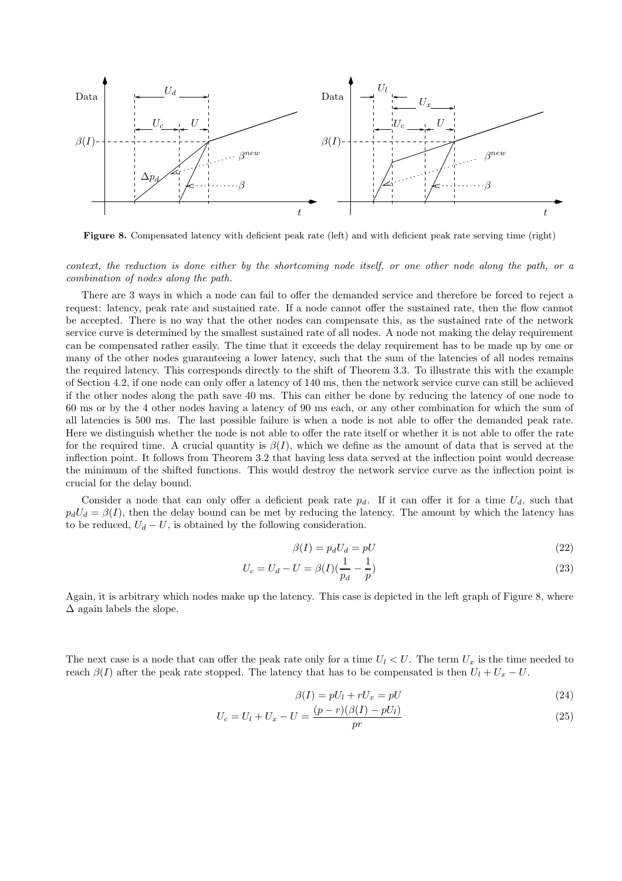rag replacements



Figure 8. Compensated latency with deficient peak rate (left) and with deficient peak rate serving time (right)

context, the reduction is done either by the shortcoming node itself, or one other node along the path, or a combination of nodes along the path.

There are 3 ways in which a node can fail to offer the demanded service and therefore be forced to reject a request: latency, peak rate and sustained rate. If a node cannot offer the sustained rate, then the flow cannot be accepted. There is no way that the other nodes can compensate this, as the sustained rate of the network service curve is determined by the smallest sustained rate of all nodes. A node not making the delay requirement can be compensated rather easily. The time that it exceeds the delay requirement has to be made up by one or many of the other nodes guaranteeing a lower latency, such that the sum of the latencies of all nodes remains the required latency. This corresponds directly to the shift of Theorem 3.3. To illustrate this with the example of Section 4.2, if one node can only offer a latency of 140 ms, then the network service curve can still be achieved if the other nodes along the path save 40 ms. This can either be done by reducing the latency of one node to 60 ms or by the 4 other nodes having a latency of 90 ms each, or any other combination for which the sum of all latencies is 500 ms. The last possible failure is when a node is not able to offer the demanded peak rate. Here we distinguish whether the node is not able to offer the rate itself or whether it is not able to offer the rate for the required time. A crucial quantity is  $\beta(I)$ , which we define as the amount of data that is served at the inflection point. It follows from Theorem 3.2 that having less data served at the inflection point would decrease the minimum of the shifted functions. This would destroy the network service curve as the inflection point is crucial for the delay bound.

Consider a node that can only offer a deficient peak rate  $p_d$ . If it can offer it for a time  $U_d$ , such that  $p_dU_d = \beta(I)$ , then the delay bound can be met by reducing the latency. The amount by which the latency has to be reduced,  $U_d - U$ , is obtained by the following consideration.

$$
\beta(I) = p_d U_d = pU \tag{22}
$$

$$
U_c = U_d - U = \beta(I)\left(\frac{1}{p_d} - \frac{1}{p}\right)
$$
\n(23)

Again, it is arbitrary which nodes make up the latency. This case is depicted in the left graph of Figure 8, where  $\Delta$  again labels the slope.

The next case is a node that can offer the peak rate only for a time  $U_l < U$ . The term  $U_x$  is the time needed to reach  $\beta(I)$  after the peak rate stopped. The latency that has to be compensated is then  $U_l + U_x - U$ .

$$
\beta(I) = pU_l + rU_x = pU \tag{24}
$$

$$
U_c = U_l + U_x - U = \frac{(p - r)(\beta(I) - pU_l)}{pr}
$$
\n(25)